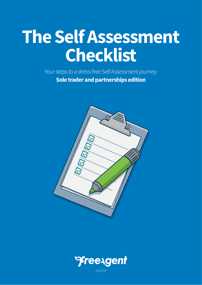# **The Self Assessment Checklist**

Your steps to a stress-free Self Assessment journey. **Sole trader and partnerships edition**





July 2019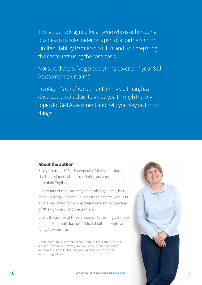This guide is designed for anyone who is either doing business as a sole trader or is part of a partnership or Limited Liability Partnership (LLP), and isn't preparing their accounts using the cash basis.

Not sure that you've got everything covered in your Self Assessment tax return?

FreeAgent's Chief Accountant, Emily Coltman, has developed a checklist to guide you through the key topics for Self Assessment and help you stay on top of things.

#### **About the author**

Emily Coltman FCA is FreeAgent's Chief Accountant and she is passionate about translating accounting-speak into plain English!

A graduate of the University of Cambridge, Emily has been working with small businesses since the year 2000 and is dedicated to helping their owners lose their fear of "the numbers" and the taxman.

She is the author of three e-books: 'Refreshingly Simple Finance for Small Business', 'Micro Multinationals' and 'Very Awkward Tax.'

Disclaimer: Emily is a great accountant, but this guide is not a substitute for advice from your own accountant, tailored to your own business. This information does not constitute accounting advice.

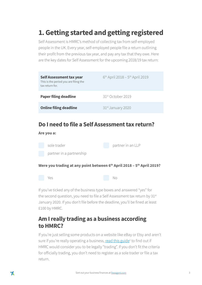# **1. Getting started and getting registered**

Self Assessment is HMRC's method of collecting tax from self-employed people in the UK. Every year, self-employed people file a return outlining their profit from the previous tax year, and pay any tax that they owe. Here are the key dates for Self Assessment for the upcoming 2018/19 tax return:

| <b>Self Assessment tax year</b><br>This is the period you are filing the<br>tax return for. | $6^{th}$ April 2018 – $5^{th}$ April 2019 |
|---------------------------------------------------------------------------------------------|-------------------------------------------|
| <b>Paper filing deadline</b>                                                                | 31 <sup>st</sup> October 2019             |
| <b>Online filing deadline</b>                                                               | 31 <sup>st</sup> January 2020             |

### **Do I need to file a Self Assessment tax return?**

**Are you a:**



Were you trading at any point between 6<sup>th</sup> April 2018 – 5<sup>th</sup> April 2019?

No

Yes

If you've ticked any of the business type boxes and answered "yes" for the second question, you need to file a Self Assessment tax return by 31st January 2020. If you don't file before the deadline, you'll be fined at least £100 by HMRC.

### **Am I really trading as a business according to HMRC?**

If you're just selling some products on a website like eBay or Etsy and aren't sure if you're really operating a business, <u>read this guide</u><sup>1</sup> to find out if HMRC would consider you to be legally "trading". If you don't fit the criteria for officially trading, you don't need to register as a sole trader or file a tax return.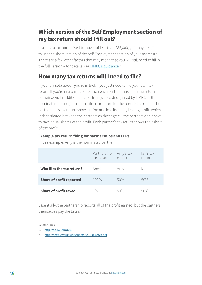### **Which version of the Self Employment section of my tax return should I fill out?**

If you have an annualised turnover of less than £85,000, you may be able to use the short version of the Self Employment section of your tax return. There are a few other factors that may mean that you will still need to fill in the full version – for details, see <u>HMRC's guidance</u>.<sup>2</sup>

### **How many tax returns will I need to file?**

If you're a sole trader, you're in luck – you just need to file your own tax return. If you're in a partnership, then each partner must file a tax return of their own. In addition, one partner (who is designated by HMRC as the nominated partner) must also file a tax return for the partnership itself. The partnership's tax return shows its income less its costs, leaving profit, which is then shared between the partners as they agree – the partners don't have to take equal shares of the profit. Each partner's tax return shows their share of the profit.

#### **Example tax return filing for partnerships and LLPs:**

|                                 | Partnership<br>tax return | Amy's tax<br>return | lan's tax<br>return |
|---------------------------------|---------------------------|---------------------|---------------------|
| Who files the tax return?       | Amy                       | Amy                 | lan                 |
| <b>Share of profit reported</b> | 100%                      | 50%                 | 50%                 |
| <b>Share of profit taxed</b>    | በ%                        | 50%                 | 50%                 |

In this example, Amy is the nominated partner.

Essentially, the partnership reports all of the profit earned, but the partners themselves pay the taxes.

- 1. <http://bit.ly/1MrQr2G>
- 2. <http://hmrc.gov.uk/worksheets/sa103s-notes.pdf>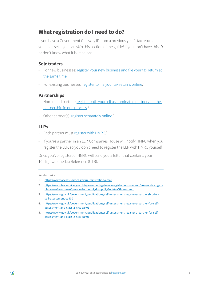### **What registration do I need to do?**

If you have a Government Gateway ID from a previous year's tax return, you're all set – you can skip this section of the guide! If you don't have this ID or don't know what it is, read on:

#### **Sole traders**

- For new businesses: [register your new business and file your tax return at](https://online.hmrc.gov.uk/registration/newbusiness/introduction)  [the same time.](https://online.hmrc.gov.uk/registration/newbusiness/introduction) 1
- For existing businesses: [register to file your tax returns online.](https://online.hmrc.gov.uk/registration)<sup>2</sup>

#### **Partnerships**

- Nominated partner: register both yourself as nominated partner and the [partnership in one process](https://online.hmrc.gov.uk/registration/newbusiness/introduction).<sup>3</sup>
- Other partner(s): [register separately online.](https://www.gov.uk/government/publications/self-assessment-register-a-partner-for-self-assessment-and-class-2-nics-sa401)<sup>4</sup>

#### **LLPs**

- Each partner must [register with HMRC.](https://online.hmrc.gov.uk/registration)<sup>5</sup>
- If you're a partner in an LLP, Companies House will notify HMRC when you register the LLP, so you don't need to register the LLP with HMRC yourself.

Once you've registered, HMRC will send you a letter that contains your 10-digit Unique Tax Reference (UTR).

- 1. https://www.access.service.gov.uk/registration/email
- 2. https://www.tax.service.gov.uk/government-gateway-registration-frontend/are-you-trying-tofile-for-sa?continue=/personal-account/do-uplift/&origin=SA-frontend
- 3. https://www.gov.uk/government/publications/self-assessment-register-a-partnership-forself-assessment-sa400
- 4. https://www.gov.uk/government/publications/self-assessment-register-a-partner-for-selfassessment-and-class-2-nics-sa401
- 5. https://www.gov.uk/government/publications/self-assessment-register-a-partner-for-selfassessment-and-class-2-nics-sa401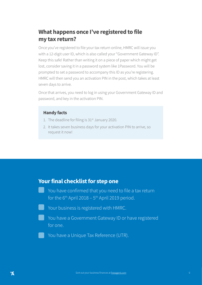### **What happens once I've registered to file my tax return?**

Once you've registered to file your tax return online, HMRC will issue you with a 12-digit user ID, which is also called your "Government Gateway ID". Keep this safe! Rather than writing it on a piece of paper which might get lost, consider saving it in a password system like 1Password. You will be prompted to set a password to accompany this ID as you're registering. HMRC will then send you an activation PIN in the post, which takes at least seven days to arrive.

Once that arrives, you need to log in using your Government Gateway ID and password, and key in the activation PIN.

#### **Handy facts**

- 1. The deadline for filing is  $31<sup>st</sup>$  January 2020.
- 2. It takes seven business days for your activation PIN to arrive, so request it now!

### **Your final checklist for step one**

You have confirmed that you need to file a tax return for the  $6<sup>th</sup>$  April 2018 –  $5<sup>th</sup>$  April 2019 period. Your business is registered with HMRC. You have a Government Gateway ID or have registered for one. You have a Unique Tax Reference (UTR).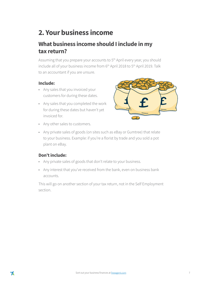# **2. Your business income**

### **What business income should I include in my tax return?**

Assuming that you prepare your accounts to 5<sup>th</sup> April every year, you should include all of your business income from 6<sup>th</sup> April 2018 to 5<sup>th</sup> April 2019. Talk to an accountant if you are unsure.

### **Include:**

- Any sales that you invoiced your customers for during these dates.
- Any sales that you completed the work for during these dates but haven't yet invoiced for.



- Any other sales to customers.
- Any private sales of goods (on sites such as eBay or Gumtree) that relate to your business. Example: if you're a florist by trade and you sold a pot plant on eBay.

### **Don't include:**

- Any private sales of goods that don't relate to your business.
- Any interest that you've received from the bank, even on business bank accounts.

This will go on another section of your tax return, not in the Self Employment section.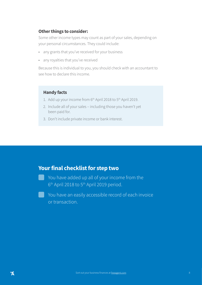### **Other things to consider:**

Some other income types may count as part of your sales, depending on your personal circumstances. They could include:

- any grants that you've received for your business
- any royalties that you've received

Because this is individual to you, you should check with an accountant to see how to declare this income.

### **Handy facts**

- 1. Add up your income from 6<sup>th</sup> April 2018 to 5<sup>th</sup> April 2019.
- 2. Include all of your sales including those you haven't yet been paid for.
- 3. Don't include private income or bank interest.

### **Your final checklist for step two**

You have added up all of your income from the 6th April 2018 to 5th April 2019 period.

You have an easily accessible record of each invoice or transaction.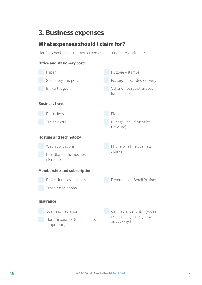# **3. Business expenses**

### **What expenses should I claim for?**

Here's a checklist of common expenses that businesses claim for:

#### **Office and stationery costs**

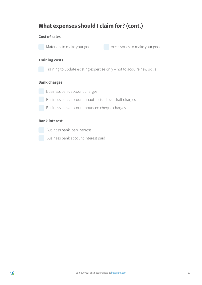### **What expenses should I claim for? (cont.)**

#### **Cost of sales**

Materials to make your goods<br>Accessories to make your goods

#### **Training costs**

Training to update existing expertise only – not to acquire new skills

#### **Bank charges**

Business bank account charges

Business bank account unauthorised overdraft charges

Business bank account bounced cheque charges

#### **Bank interest**

Business bank loan interest

Business bank account interest paid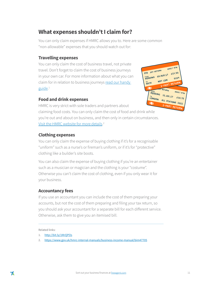### **What expenses shouldn't I claim for?**

You can only claim expenses if HMRC allows you to. Here are some common "non-allowable" expenses that you should watch out for:

#### **Travelling expenses**

You can only claim the cost of business travel, not private travel. Don't forget to claim the cost of business journeys in your own car. For more information about what you can claim for in relation to business journeys rea[d our handy](http://bit.ly/1MrQPOs)  [guide.](http://bit.ly/1MrQPOs)<sup>1</sup>



#### **Food and drink expenses**

HMRC is very strict with sole traders and partners about claiming food costs. You can only claim the cost of food and drink while you're out and about on business, and then only in certain circumstances. [Visit the HMRC website for more details.](https://www.gov.uk/hmrc-internal-manuals/business-income-manual/bim47705) 2

### **Clothing expenses**

You can only claim the expense of buying clothing if it's for a recognisable "uniform" such as a nurse's or fireman's uniform, or if it's for "protective" clothing like a builder's site boots.

You can also claim the expense of buying clothing if you're an entertainer such as a musician or magician and the clothing is your "costume". Otherwise you can't claim the cost of clothing, even if you only wear it for your business.

### **Accountancy fees**

If you use an accountant you can include the cost of them preparing your accounts, but not the cost of them preparing and filing your tax return, so you should ask your accountant for a separate bill for each different service. Otherwise, ask them to give you an itemised bill.

<sup>1.</sup> <http://bit.ly/1MrQPOs>

<sup>2.</sup> <https://www.gov.uk/hmrc-internal-manuals/business-income-manual/bim47705>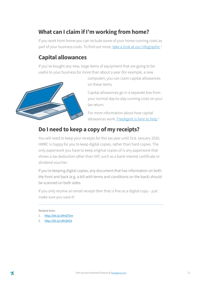### **What can I claim if I'm working from home?**

If you work from home you can include some of your home running costs as part of your business costs. To find out more, [take a look at our infographic](http://bit.ly/1MrQTOm).<sup>1</sup>

### **Capital allowances**

If you've bought any new, large items of equipment that are going to be useful to your business for more than about a year (for example, a new



computer), you can claim capital allowances on these items.

Capital allowances go in a separate box from your normal day-to-day running costs on your tax return.

For more information about how capital allowances work, [FreeAgent is here to help](http://bit.ly/1MrQXO3).<sup>2</sup>

### **Do I need to keep a copy of my receipts?**

You will need to keep your receipts for this tax year until 31st January 2026. HMRC is happy for you to keep digital copies, rather than hard copies. The only paperwork you have to keep original copies of is any paperwork that shows a tax deduction other than VAT, such as a bank interest certificate or dividend voucher.

If you're keeping digital copies, any document that has information on both the front and back (e.g. a bill with terms and conditions on the back) should be scanned on both sides.

If you only receive an email receipt then that is fine as a digital copy – just make sure you save it!

- 1. <http://bit.ly/1MrQTOm>
- 2. <http://bit.ly/1MrQXO3>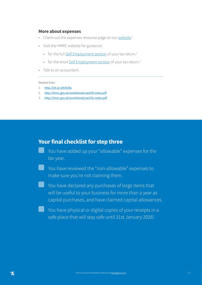#### **More about expenses**

- Check out the expenses resource page on our [website](http://bit.ly/1MrR2Ba).<sup>1</sup>
- Visit the HMRC website for guidance:
	- for the full [Self Employment section](http://hmrc.gov.uk/worksheets/sa103f-notes.pdf) of your tax return.<sup>2</sup>
	- for the short [Self Employment section](http://hmrc.gov.uk/worksheets/sa103s-notes.pdf) of your tax return.<sup>3</sup>
- Talk to an accountant.

#### Related links:

- 1. <http://bit.ly/1MrR2Ba>
- 2. <http://hmrc.gov.uk/worksheets/sa103f-notes.pdf>
- 3. <http://hmrc.gov.uk/worksheets/sa103s-notes.pdf>

### **Your final checklist for step three**

- You have added up your "allowable" expenses for the tax year.
- You have reviewed the "non-allowable" expenses to make sure you're not claiming them.
- ▄ You have declared any purchases of large items that will be useful to your business for more than a year as capital purchases, and have claimed capital allowances.
- You have physical or digital copies of your receipts in a safe place that will stay safe until 31st January 2026!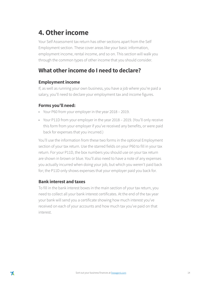# **4. Other income**

Your Self Assessment tax return has other sections apart from the Self Employment section. These cover areas like your basic information, employment income, rental income, and so on. This section will walk you through the common types of other income that you should consider.

### **What other income do I need to declare?**

### **Employment income**

If, as well as running your own business, you have a job where you're paid a salary, you'll need to declare your employment tax and income figures.

### **Forms you'll need:**

- Your P60 from your employer in the year 2018 2019.
- Your P11D from your employer in the year 2018 2019. (You'll only receive this form from your employer if you've received any benefits, or were paid back for expenses that you incurred.)

You'll use the information from these two forms in the optional Employment section of your tax return. Use the starred fields on your P60 to fill in your tax return. For your P11D, the box numbers you should use on your tax return are shown in brown or blue. You'll also need to have a note of any expenses you actually incurred when doing your job, but which you weren't paid back for; the P11D only shows expenses that your employer paid you back for.

### **Bank interest and taxes**

To fill in the bank interest boxes in the main section of your tax return, you need to collect all your bank interest certificates. At the end of the tax year your bank will send you a certificate showing how much interest you've received on each of your accounts and how much tax you've paid on that interest.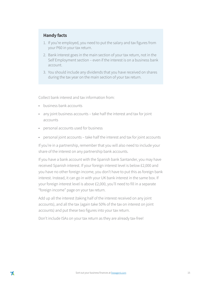#### **Handy facts**

- 1. If you're employed, you need to put the salary and tax figures from your P60 in your tax return.
- 2. Bank interest goes in the main section of your tax return, not in the Self Employment section – even if the interest is on a business bank account.
- 3. You should include any dividends that you have received on shares during the tax year on the main section of your tax return.

Collect bank interest and tax information from:

- business bank accounts
- any joint business accounts take half the interest and tax for joint accounts
- personal accounts used for business
- personal joint accounts take half the interest and tax for joint accounts

If you're in a partnership, remember that you will also need to include your share of the interest on any partnership bank accounts.

If you have a bank account with the Spanish bank Santander, you may have received Spanish interest. If your foreign interest level is below £2,000 and you have no other foreign income, you don't have to put this as foreign bank interest. Instead, it can go in with your UK bank interest in the same box. If your foreign interest level is above £2,000, you'll need to fill in a separate "foreign income" page on your tax return.

Add up all the interest (taking half of the interest received on any joint accounts), and all the tax (again take 50% of the tax on interest on joint accounts) and put these two figures into your tax return.

Don't include ISAs on your tax return as they are already tax-free!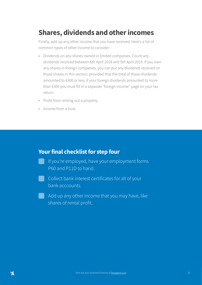# **Shares, dividends and other incomes**

Finally, add up any other income that you have received. Here's a list of common types of other income to consider:

- Dividends on any shares owned in limited companies. Count any dividends received between 6th April 2018 and 5th April 2019. If you own any shares in foreign companies, you can put any dividends received on those shares in this section, provided that the total of those dividends amounted to £300 or less. If your foreign dividends amounted to more than £300 you must fill in a separate "foreign income" page on your tax return.
- Profit from renting out a property.
- Income from a trust.

### **Your final checklist for step four**

- If you're employed, have your employment forms P60 and P11D to hand.
- **Collect bank interest certificates for all of your** bank acccounts.
	- Add up any other income that you may have, like shares of rental profit.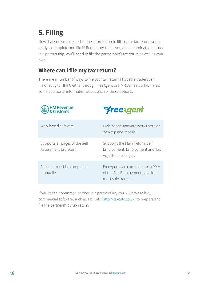# **5. Filing**

Now that you've collected all the information to fill in your tax return, you're ready to complete and file it! Remember that if you're the nominated partner in a partnership, you'll need to file the partnership's tax return as well as your own.

### **Where can I file my tax return?**

There are a number of ways to file your tax return. Most sole traders can file directly to HMRC either through FreeAgent or HMRC's free portal. Here's some additional information about each of these options:

| HM Revenue<br>& Customs                                  | <b><i>Preexgent</i></b>                                                                   |
|----------------------------------------------------------|-------------------------------------------------------------------------------------------|
| Web-based software.                                      | Web-based software works both on<br>desktop and mobile.                                   |
| Supports all pages of the Self<br>Assessment tax return. | Supports the Main Return, Self<br>Employment, Employment and Tax<br>Adjustments pages.    |
| All pages must be completed<br>manually.                 | FreeAgent can complete up to 90%<br>of the Self Employment page for<br>most sole traders. |

If you're the nominated partner in a partnership, you will have to buy commercial software, such as Tax Calc [\(http://taxcalc.co.uk\)](http://taxcalc.co.uk) to prepare and file the partnership's tax return.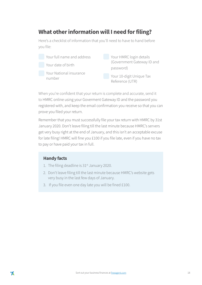### **What other information will I need for filing?**

Here's a checklist of information that you'll need to have to hand before you file:

| Your full name and address |  | Your HMRC login details                     |  |
|----------------------------|--|---------------------------------------------|--|
| Your date of birth         |  | (Government Gateway ID and                  |  |
|                            |  | password)                                   |  |
| Your National insurance    |  |                                             |  |
| number                     |  | Your 10-digit Unique Tax<br>Reference (UTR) |  |

When you're confident that your return is complete and accurate, send it to HMRC online using your Goverment Gateway ID and the password you registered with, and keep the email confirmation you receive so that you can prove you filed your return.

Remember that you must successfully file your tax return with HMRC by 31st January 2020. Don't leave filing till the last minute because HMRC's servers get very busy right at the end of January, and this isn't an acceptable excuse for late filing! HMRC will fine you £100 if you file late, even if you have no tax to pay or have paid your tax in full.

#### **Handy facts**

- 1. The filing deadline is  $31<sup>st</sup>$  January 2020.
- 2. Don't leave filing till the last minute because HMRC's website gets very busy in the last few days of January.
- 3. If you file even one day late you will be fined £100.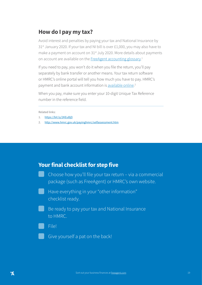### **How do I pay my tax?**

Avoid interest and penalties by paying your tax and National Insurance by 31<sup>st</sup> January 2020. If your tax and NI bill is over £1,000, you may also have to make a payment on account on 31<sup>st</sup> July 2020. More details about payments on account are available on the [FreeAgent](https://bit.ly/2KEuBjD) accounting glossary.<sup>1</sup>

If you need to pay, you won't do it when you file the return, you'll pay separately by bank transfer or another means. Your tax return software or HMRC's online portal will tell you how much you have to pay. HMRC's payment and bank account information is [available online](http://www.hmrc.gov.uk/payinghmrc/selfassessment.htm).<sup>2</sup>

When you pay, make sure you enter your 10-digit Unique Tax Reference number in the reference field.

Related links:

- 1. <https://bit.ly/2KEuBjD>
- 2. <http://www.hmrc.gov.uk/payinghmrc/selfassessment.htm>

### **Your final checklist for step five**

Choose how you'll file your tax return – via a commercial package (such as FreeAgent) or HMRC's own website.

Have everything in your "other information" checklist ready.

Be ready to pay your tax and National Insurance to HMRC.

File!

Give yourself a pat on the back!